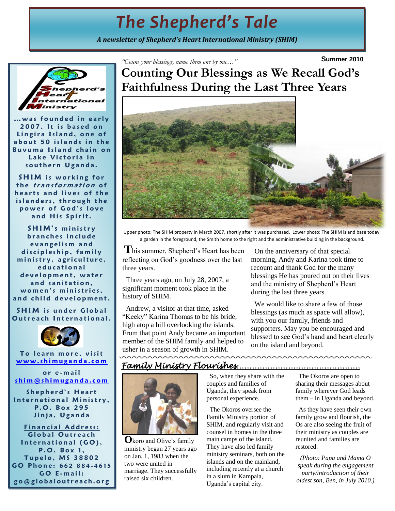# *The Shepherd's Tale*

*A newsletter of Shepherd's Heart International Ministry (SHIM)*



**…w a s f o u n d e d i n e a r l y 2007.** It is based on Lingira Island, one of **a b o u t 5 0 i s l a n d s i n t h e B u v u m a I s l a n d c h a i n on**  Lake Victoria in southern Uganda.

**SHIM** is working for the *transformation* of **h e a r t s a n d l i v e s o f t h e**  islanders, through the **p o w e r o f G o d ' s l o v e**  and His Spirit.

**SHIM's ministry b r a n c h e s i n c l u d e e v a n g e l i s m a n d**  discipleship, family ministry, agriculture, **e d u c a t i o n a l**  development, water **a n d s a n i t a t i o n ,**  women's ministries, and child development.

**SHIM** is under Global **Outreach International.** 



**To learn more, visit [w w w . s h i m u g a n d a . c o m](http://www.shimuganda.com/)**

**o r e - m a i l [s h i m @ s h i m u g a n d a . c o m](mailto:shim@shimuganda.com)**

Shepherd's **Heart** International Ministry, **P . O . B o x 2 9 5 J i n j a , U g a n d a**

**Financial Address: G l o b a l O u t r e a c h**  International (GO), **P . O . B o x 1 , T u p e l o , M S 3 8 8 0 2 G O P h o n e : 6 6 2 8 8 4 - 4 6 1 5 G O E - m a i l : g o @ g l o b a l o u t r e a c h . o r g**

**Summer 2010** *"Count your blessings, name them one by one…"*

**Counting Our Blessings as We Recall God's Faithfulness During the Last Three Years**



Upper photo: The SHIM property in March 2007, shortly after it was purchased. Lower photo: The SHIM island base today: a garden in the foreground, the Smith home to the right and the administrative building in the background.

**T**his summer, Shepherd's Heart has been reflecting on God's goodness over the last three years.

 Three years ago, on July 28, 2007, a significant moment took place in the history of SHIM.

 Andrew, a visitor at that time, asked "Keeky" Karina Thomas to be his bride, high atop a hill overlooking the islands. From that point Andy became an important member of the SHIM family and helped to usher in a season of growth in SHIM.

 On the anniversary of that special morning, Andy and Karina took time to recount and thank God for the many blessings He has poured out on their lives and the ministry of Shepherd's Heart during the last three years.

 We would like to share a few of those blessings (as much as space will allow), with you our family, friends and supporters. May you be encouraged and blessed to see God's hand and heart clearly on the island and beyond.

<u> www.www.www.ww</u>

### *Family Ministry Flourishes…………………………………………*



**O**koro and Olive's family ministry began 27 years ago on Jan. 1, 1983 when the two were united in marriage. They successfully raised six children.

 So, when they share with the couples and families of Uganda, they speak from personal experience.

 The Okoros oversee the Family Ministry portion of SHIM, and regularly visit and counsel in homes in the three main camps of the island. They have also led family ministry seminars, both on the islands and on the mainland, including recently at a church in a slum in Kampala, Uganda's capital city.

 The Okoros are open to sharing their messages about family wherever God leads them – in Uganda and beyond.

 As they have seen their own family grow and flourish, the Os are also seeing the fruit of their ministry as couples are reunited and families are restored.

*(Photo: Papa and Mama O speak during the engagement party/introduction of their oldest son, Ben, in July 2010.)*